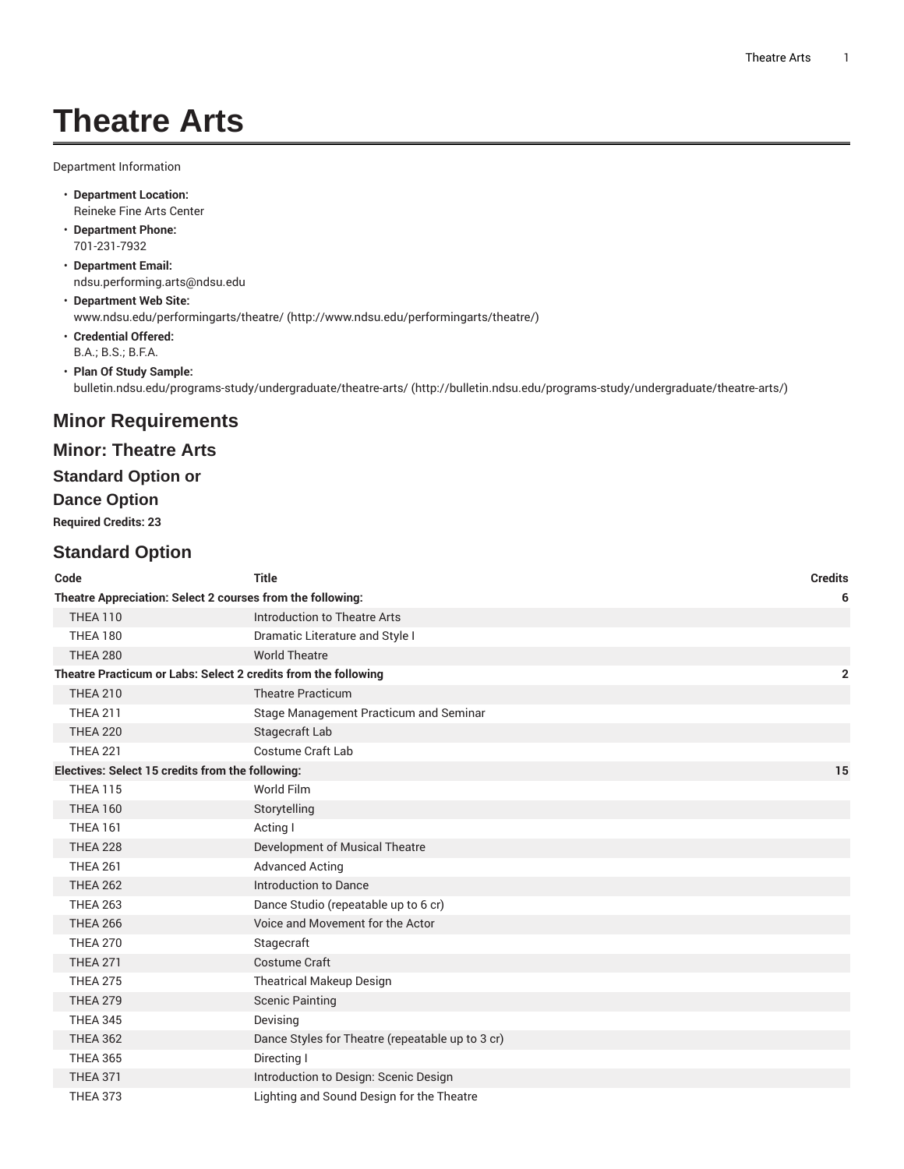# **Theatre Arts**

Department Information

- **Department Location:** Reineke Fine Arts Center
- **Department Phone:** 701-231-7932
- **Department Email:** [ndsu.performing.arts@ndsu.edu](mailto:ndsu.performing.arts@ndsu.edu)
- **Department Web Site:** [www.ndsu.edu/performingarts/theatre/](http://www.ndsu.edu/performingarts/theatre/) [\(http://www.ndsu.edu/performingarts/theatre/\)](http://www.ndsu.edu/performingarts/theatre/)
- **Credential Offered:** B.A.; B.S.; B.F.A.
- **Plan Of Study Sample:** [bulletin.ndsu.edu/programs-study/undergraduate/theatre-arts/ \(http://bulletin.ndsu.edu/programs-study/undergraduate/theatre-arts/](http://bulletin.ndsu.edu/programs-study/undergraduate/theatre-arts/))

## **Minor Requirements**

### **Minor: Theatre Arts**

#### **Standard Option or**

#### **Dance Option**

**Required Credits: 23**

## **Standard Option**

| Code                                                           | <b>Title</b>                                     | <b>Credits</b> |  |  |
|----------------------------------------------------------------|--------------------------------------------------|----------------|--|--|
| Theatre Appreciation: Select 2 courses from the following:     |                                                  |                |  |  |
| <b>THEA 110</b>                                                | Introduction to Theatre Arts                     |                |  |  |
| <b>THEA 180</b>                                                | Dramatic Literature and Style I                  |                |  |  |
| <b>THEA 280</b>                                                | <b>World Theatre</b>                             |                |  |  |
| Theatre Practicum or Labs: Select 2 credits from the following |                                                  | $\overline{2}$ |  |  |
| <b>THEA 210</b>                                                | <b>Theatre Practicum</b>                         |                |  |  |
| <b>THEA 211</b>                                                | Stage Management Practicum and Seminar           |                |  |  |
| <b>THEA 220</b>                                                | Stagecraft Lab                                   |                |  |  |
| <b>THEA 221</b>                                                | <b>Costume Craft Lab</b>                         |                |  |  |
| Electives: Select 15 credits from the following:               |                                                  | 15             |  |  |
| <b>THEA 115</b>                                                | World Film                                       |                |  |  |
| <b>THEA 160</b>                                                | Storytelling                                     |                |  |  |
| <b>THEA 161</b>                                                | Acting I                                         |                |  |  |
| <b>THEA 228</b>                                                | Development of Musical Theatre                   |                |  |  |
| <b>THEA 261</b>                                                | <b>Advanced Acting</b>                           |                |  |  |
| <b>THEA 262</b>                                                | <b>Introduction to Dance</b>                     |                |  |  |
| <b>THEA 263</b>                                                | Dance Studio (repeatable up to 6 cr)             |                |  |  |
| <b>THEA 266</b>                                                | Voice and Movement for the Actor                 |                |  |  |
| <b>THEA 270</b>                                                | Stagecraft                                       |                |  |  |
| <b>THEA 271</b>                                                | <b>Costume Craft</b>                             |                |  |  |
| <b>THEA 275</b>                                                | <b>Theatrical Makeup Design</b>                  |                |  |  |
| <b>THEA 279</b>                                                | <b>Scenic Painting</b>                           |                |  |  |
| <b>THEA 345</b>                                                | Devising                                         |                |  |  |
| <b>THEA 362</b>                                                | Dance Styles for Theatre (repeatable up to 3 cr) |                |  |  |
| <b>THEA 365</b>                                                | Directing I                                      |                |  |  |
| <b>THEA 371</b>                                                | Introduction to Design: Scenic Design            |                |  |  |
| <b>THEA 373</b>                                                | Lighting and Sound Design for the Theatre        |                |  |  |